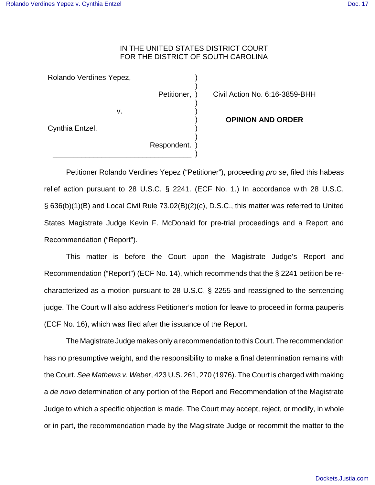## IN THE UNITED STATES DISTRICT COURT FOR THE DISTRICT OF SOUTH CAROLINA

) )

) ) ) ) ) ) )

Rolando Verdines Yepez,

v.

\_\_\_\_\_\_\_\_\_\_\_\_\_\_\_\_\_\_\_\_\_\_\_\_\_\_\_\_\_\_\_\_\_\_

Petitioner, )

Civil Action No. 6:16-3859-BHH

Cynthia Entzel,

Respondent.

## **OPINION AND ORDER**

Petitioner Rolando Verdines Yepez ("Petitioner"), proceeding pro se, filed this habeas relief action pursuant to 28 U.S.C. § 2241. (ECF No. 1.) In accordance with 28 U.S.C. § 636(b)(1)(B) and Local Civil Rule 73.02(B)(2)(c), D.S.C., this matter was referred to United States Magistrate Judge Kevin F. McDonald for pre-trial proceedings and a Report and Recommendation ("Report").

This matter is before the Court upon the Magistrate Judge's Report and Recommendation ("Report") (ECF No. 14), which recommends that the § 2241 petition be recharacterized as a motion pursuant to 28 U.S.C. § 2255 and reassigned to the sentencing judge. The Court will also address Petitioner's motion for leave to proceed in forma pauperis (ECF No. 16), which was filed after the issuance of the Report.

The Magistrate Judge makes only a recommendation to this Court. The recommendation has no presumptive weight, and the responsibility to make a final determination remains with the Court. See Mathews v. Weber, 423 U.S. 261, 270 (1976). The Court is charged with making a de novo determination of any portion of the Report and Recommendation of the Magistrate Judge to which a specific objection is made. The Court may accept, reject, or modify, in whole or in part, the recommendation made by the Magistrate Judge or recommit the matter to the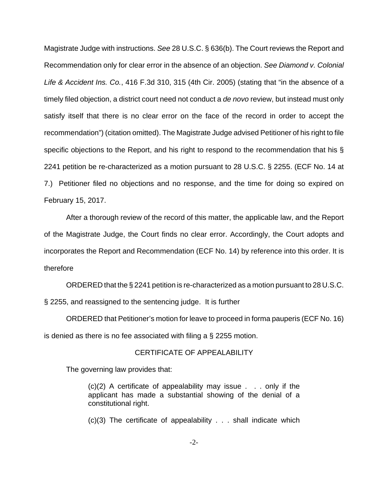Magistrate Judge with instructions. See 28 U.S.C. § 636(b). The Court reviews the Report and Recommendation only for clear error in the absence of an objection. See Diamond v. Colonial Life & Accident Ins. Co., 416 F.3d 310, 315 (4th Cir. 2005) (stating that "in the absence of a timely filed objection, a district court need not conduct a *de novo* review, but instead must only satisfy itself that there is no clear error on the face of the record in order to accept the recommendation") (citation omitted). The Magistrate Judge advised Petitioner of his right to file specific objections to the Report, and his right to respond to the recommendation that his § 2241 petition be re-characterized as a motion pursuant to 28 U.S.C. § 2255. (ECF No. 14 at 7.) Petitioner filed no objections and no response, and the time for doing so expired on February 15, 2017.

After a thorough review of the record of this matter, the applicable law, and the Report of the Magistrate Judge, the Court finds no clear error. Accordingly, the Court adopts and incorporates the Report and Recommendation (ECF No. 14) by reference into this order. It is therefore

ORDERED that the § 2241 petition is re-characterized as a motion pursuant to 28 U.S.C.

§ 2255, and reassigned to the sentencing judge. It is further

ORDERED that Petitioner's motion for leave to proceed in forma pauperis (ECF No. 16) is denied as there is no fee associated with filing a § 2255 motion.

## CERTIFICATE OF APPEALABILITY

The governing law provides that:

(c)(2) A certificate of appealability may issue . . . only if the applicant has made a substantial showing of the denial of a constitutional right.

(c)(3) The certificate of appealability . . . shall indicate which